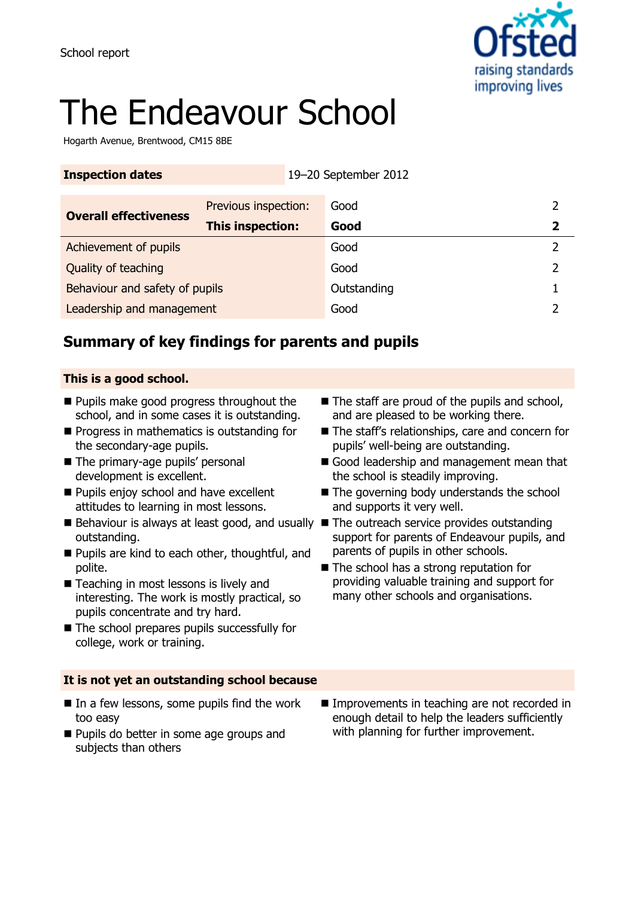

# The Endeavour School

Hogarth Avenue, Brentwood, CM15 8BE

| <b>Inspection dates</b>        | 19-20 September 2012 |             |   |
|--------------------------------|----------------------|-------------|---|
| <b>Overall effectiveness</b>   | Previous inspection: | Good        |   |
|                                | This inspection:     | Good        | 2 |
| Achievement of pupils          |                      | Good        |   |
| Quality of teaching            |                      | Good        |   |
| Behaviour and safety of pupils |                      | Outstanding |   |
| Leadership and management      |                      | Good        |   |

# **Summary of key findings for parents and pupils**

### **This is a good school.**

- **Pupils make good progress throughout the** school, and in some cases it is outstanding.
- **Progress in mathematics is outstanding for** the secondary-age pupils.
- The primary-age pupils' personal development is excellent.
- **Pupils enjoy school and have excellent** attitudes to learning in most lessons.
- Behaviour is always at least good, and usually The outreach service provides outstanding outstanding.
- **Pupils are kind to each other, thoughtful, and** polite.
- Teaching in most lessons is lively and interesting. The work is mostly practical, so pupils concentrate and try hard.
- The school prepares pupils successfully for college, work or training.

### **It is not yet an outstanding school because**

- $\blacksquare$  In a few lessons, some pupils find the work too easy
- **Pupils do better in some age groups and** subjects than others
- $\blacksquare$  The staff are proud of the pupils and school, and are pleased to be working there.
- The staff's relationships, care and concern for pupils' well-being are outstanding.
- Good leadership and management mean that the school is steadily improving.
- The governing body understands the school and supports it very well.
- support for parents of Endeavour pupils, and parents of pupils in other schools.
- The school has a strong reputation for providing valuable training and support for many other schools and organisations.

**Improvements in teaching are not recorded in** enough detail to help the leaders sufficiently with planning for further improvement.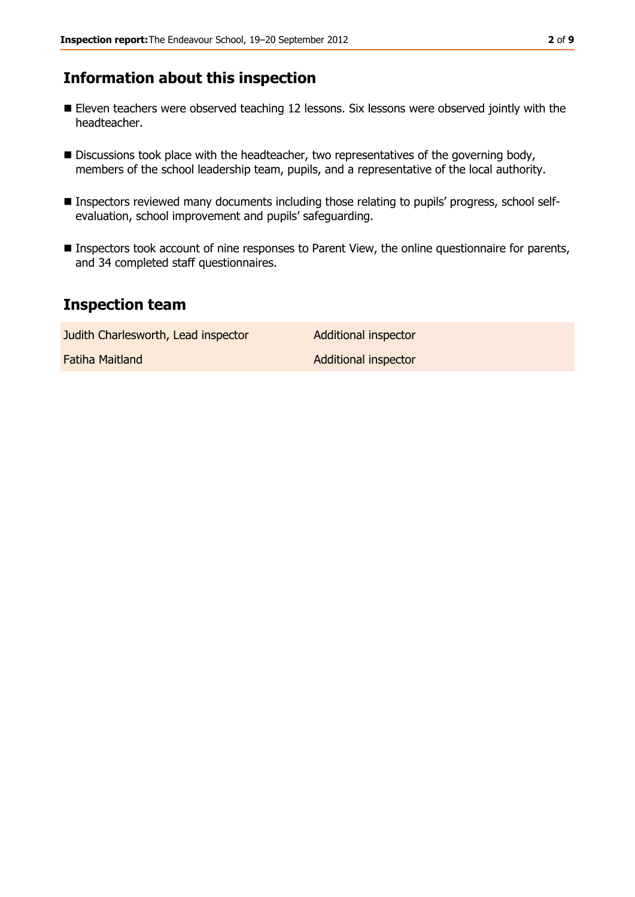# **Information about this inspection**

- Eleven teachers were observed teaching 12 lessons. Six lessons were observed jointly with the headteacher.
- Discussions took place with the headteacher, two representatives of the governing body, members of the school leadership team, pupils, and a representative of the local authority.
- Inspectors reviewed many documents including those relating to pupils' progress, school selfevaluation, school improvement and pupils' safeguarding.
- **Inspectors took account of nine responses to Parent View, the online questionnaire for parents,** and 34 completed staff questionnaires.

## **Inspection team**

Judith Charlesworth, Lead inspector **Additional inspector Fatiha Maitland Additional inspector**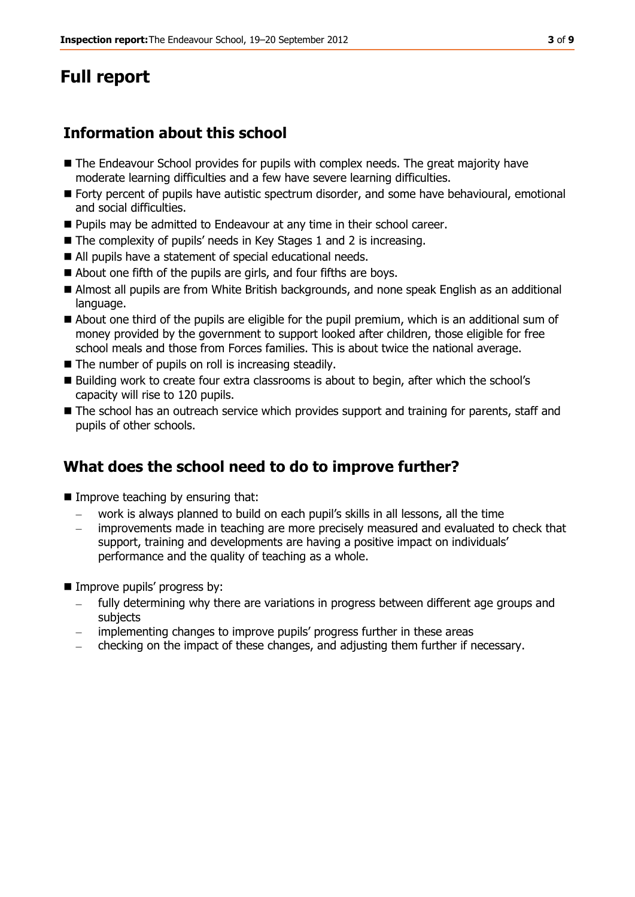# **Full report**

# **Information about this school**

- The Endeavour School provides for pupils with complex needs. The great majority have moderate learning difficulties and a few have severe learning difficulties.
- Forty percent of pupils have autistic spectrum disorder, and some have behavioural, emotional and social difficulties.
- Pupils may be admitted to Endeavour at any time in their school career.
- The complexity of pupils' needs in Key Stages 1 and 2 is increasing.
- All pupils have a statement of special educational needs.
- About one fifth of the pupils are girls, and four fifths are boys.
- Almost all pupils are from White British backgrounds, and none speak English as an additional language.
- About one third of the pupils are eligible for the pupil premium, which is an additional sum of money provided by the government to support looked after children, those eligible for free school meals and those from Forces families. This is about twice the national average.
- The number of pupils on roll is increasing steadily.
- Building work to create four extra classrooms is about to begin, after which the school's capacity will rise to 120 pupils.
- The school has an outreach service which provides support and training for parents, staff and pupils of other schools.

# **What does the school need to do to improve further?**

- Improve teaching by ensuring that:
	- work is always planned to build on each pupil's skills in all lessons, all the time
	- improvements made in teaching are more precisely measured and evaluated to check that support, training and developments are having a positive impact on individuals' performance and the quality of teaching as a whole.
- Improve pupils' progress by:
	- fully determining why there are variations in progress between different age groups and subjects
	- implementing changes to improve pupils' progress further in these areas
	- checking on the impact of these changes, and adjusting them further if necessary.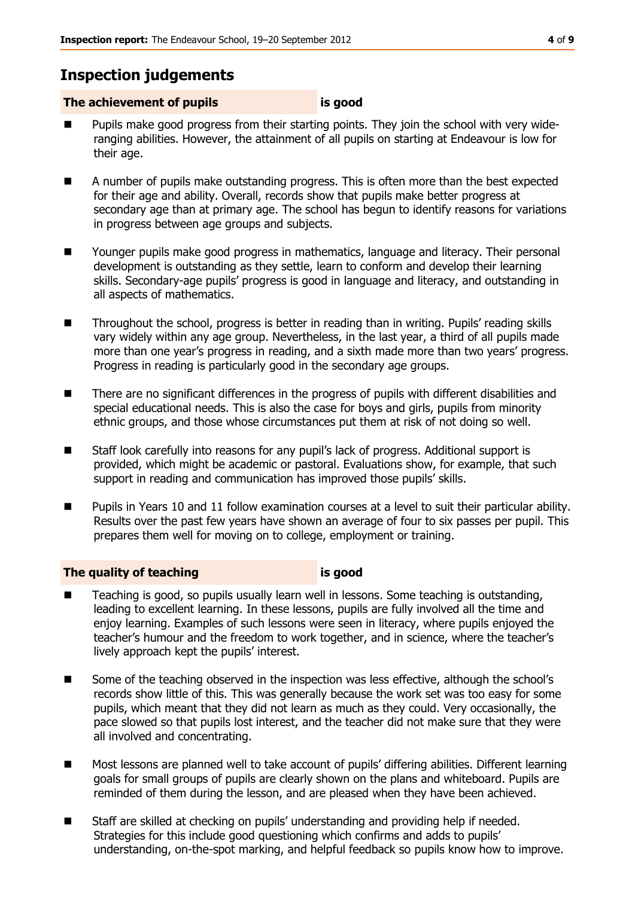# **Inspection judgements**

### **The achievement of pupils is good**

- Pupils make good progress from their starting points. They join the school with very wideranging abilities. However, the attainment of all pupils on starting at Endeavour is low for their age.
- A number of pupils make outstanding progress. This is often more than the best expected for their age and ability. Overall, records show that pupils make better progress at secondary age than at primary age. The school has begun to identify reasons for variations in progress between age groups and subjects.
- Younger pupils make good progress in mathematics, language and literacy. Their personal development is outstanding as they settle, learn to conform and develop their learning skills. Secondary-age pupils' progress is good in language and literacy, and outstanding in all aspects of mathematics.
- Throughout the school, progress is better in reading than in writing. Pupils' reading skills vary widely within any age group. Nevertheless, in the last year, a third of all pupils made more than one year's progress in reading, and a sixth made more than two years' progress. Progress in reading is particularly good in the secondary age groups.
- **There are no significant differences in the progress of pupils with different disabilities and** special educational needs. This is also the case for boys and girls, pupils from minority ethnic groups, and those whose circumstances put them at risk of not doing so well.
- Staff look carefully into reasons for any pupil's lack of progress. Additional support is provided, which might be academic or pastoral. Evaluations show, for example, that such support in reading and communication has improved those pupils' skills.
- Pupils in Years 10 and 11 follow examination courses at a level to suit their particular ability. Results over the past few years have shown an average of four to six passes per pupil. This prepares them well for moving on to college, employment or training.

### **The quality of teaching is good**

- Teaching is good, so pupils usually learn well in lessons. Some teaching is outstanding, leading to excellent learning. In these lessons, pupils are fully involved all the time and enjoy learning. Examples of such lessons were seen in literacy, where pupils enjoyed the teacher's humour and the freedom to work together, and in science, where the teacher's lively approach kept the pupils' interest.
- Some of the teaching observed in the inspection was less effective, although the school's records show little of this. This was generally because the work set was too easy for some pupils, which meant that they did not learn as much as they could. Very occasionally, the pace slowed so that pupils lost interest, and the teacher did not make sure that they were all involved and concentrating.
- Most lessons are planned well to take account of pupils' differing abilities. Different learning goals for small groups of pupils are clearly shown on the plans and whiteboard. Pupils are reminded of them during the lesson, and are pleased when they have been achieved.
- Staff are skilled at checking on pupils' understanding and providing help if needed. Strategies for this include good questioning which confirms and adds to pupils' understanding, on-the-spot marking, and helpful feedback so pupils know how to improve.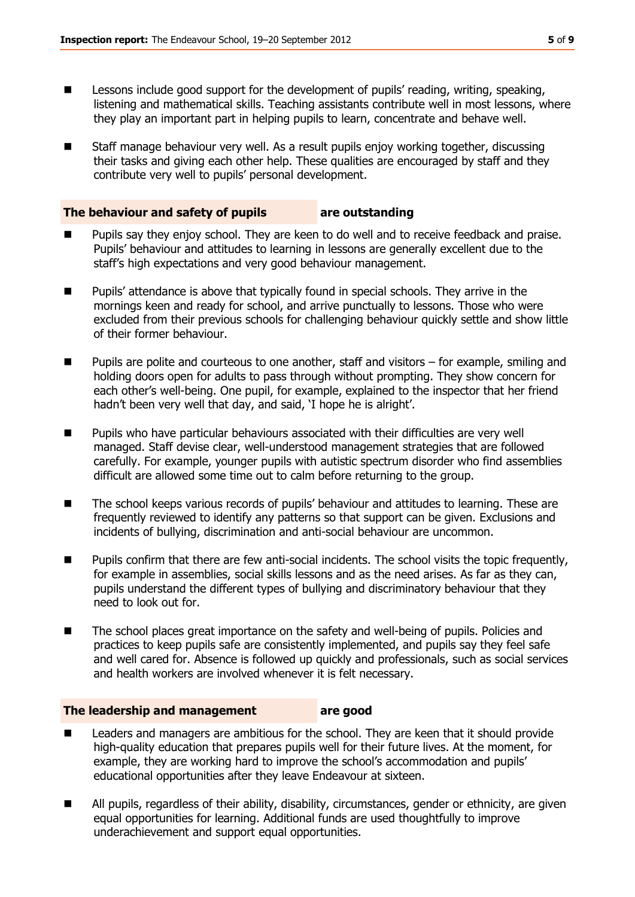- **Lessons include good support for the development of pupils' reading, writing, speaking,** listening and mathematical skills. Teaching assistants contribute well in most lessons, where they play an important part in helping pupils to learn, concentrate and behave well.
- Staff manage behaviour very well. As a result pupils enjoy working together, discussing their tasks and giving each other help. These qualities are encouraged by staff and they contribute very well to pupils' personal development.

#### **The behaviour and safety of pupils are outstanding**

- Pupils say they enjoy school. They are keen to do well and to receive feedback and praise. Pupils' behaviour and attitudes to learning in lessons are generally excellent due to the staff's high expectations and very good behaviour management.
- **Pupils'** attendance is above that typically found in special schools. They arrive in the mornings keen and ready for school, and arrive punctually to lessons. Those who were excluded from their previous schools for challenging behaviour quickly settle and show little of their former behaviour.
- **Pupils are polite and courteous to one another, staff and visitors for example, smiling and** holding doors open for adults to pass through without prompting. They show concern for each other's well-being. One pupil, for example, explained to the inspector that her friend hadn't been very well that day, and said, 'I hope he is alright'.
- **Pupilly who have particular behaviours associated with their difficulties are very well** managed. Staff devise clear, well-understood management strategies that are followed carefully. For example, younger pupils with autistic spectrum disorder who find assemblies difficult are allowed some time out to calm before returning to the group.
- The school keeps various records of pupils' behaviour and attitudes to learning. These are frequently reviewed to identify any patterns so that support can be given. Exclusions and incidents of bullying, discrimination and anti-social behaviour are uncommon.
- **Pupils confirm that there are few anti-social incidents. The school visits the topic frequently,** for example in assemblies, social skills lessons and as the need arises. As far as they can, pupils understand the different types of bullying and discriminatory behaviour that they need to look out for.
- The school places great importance on the safety and well-being of pupils. Policies and practices to keep pupils safe are consistently implemented, and pupils say they feel safe and well cared for. Absence is followed up quickly and professionals, such as social services and health workers are involved whenever it is felt necessary.

#### **The leadership and management are good**

- Leaders and managers are ambitious for the school. They are keen that it should provide high-quality education that prepares pupils well for their future lives. At the moment, for example, they are working hard to improve the school's accommodation and pupils' educational opportunities after they leave Endeavour at sixteen.
- All pupils, regardless of their ability, disability, circumstances, gender or ethnicity, are given equal opportunities for learning. Additional funds are used thoughtfully to improve underachievement and support equal opportunities.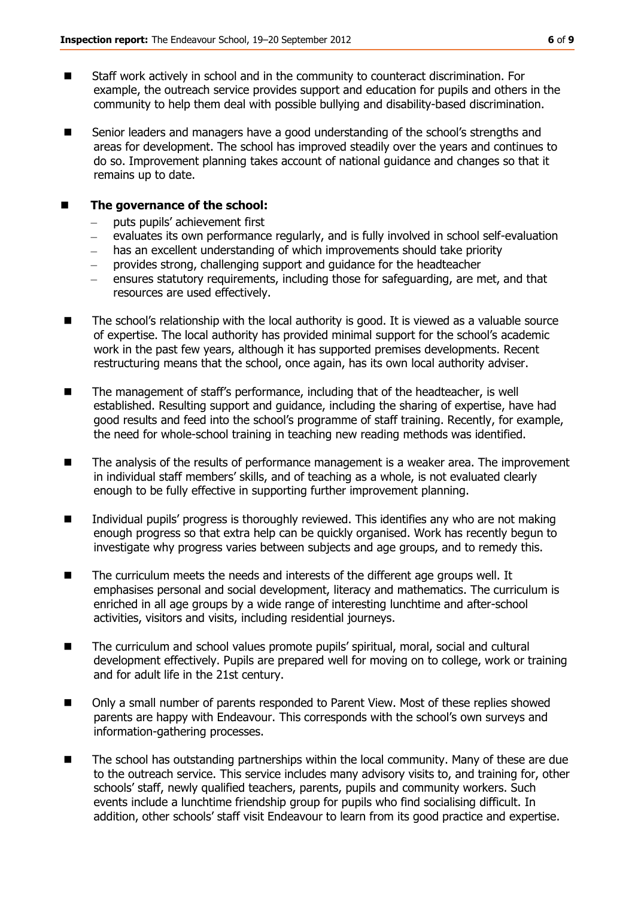- Staff work actively in school and in the community to counteract discrimination. For example, the outreach service provides support and education for pupils and others in the community to help them deal with possible bullying and disability-based discrimination.
- Senior leaders and managers have a good understanding of the school's strengths and areas for development. The school has improved steadily over the years and continues to do so. Improvement planning takes account of national guidance and changes so that it remains up to date.

#### ■ The governance of the school:

- puts pupils' achievement first
- evaluates its own performance regularly, and is fully involved in school self-evaluation
- has an excellent understanding of which improvements should take priority
- $\equiv$ provides strong, challenging support and guidance for the headteacher
- ensures statutory requirements, including those for safeguarding, are met, and that resources are used effectively.
- $\blacksquare$  The school's relationship with the local authority is good. It is viewed as a valuable source of expertise. The local authority has provided minimal support for the school's academic work in the past few years, although it has supported premises developments. Recent restructuring means that the school, once again, has its own local authority adviser.
- The management of staff's performance, including that of the headteacher, is well established. Resulting support and guidance, including the sharing of expertise, have had good results and feed into the school's programme of staff training. Recently, for example, the need for whole-school training in teaching new reading methods was identified.
- The analysis of the results of performance management is a weaker area. The improvement in individual staff members' skills, and of teaching as a whole, is not evaluated clearly enough to be fully effective in supporting further improvement planning.
- Individual pupils' progress is thoroughly reviewed. This identifies any who are not making enough progress so that extra help can be quickly organised. Work has recently begun to investigate why progress varies between subjects and age groups, and to remedy this.
- The curriculum meets the needs and interests of the different age groups well. It emphasises personal and social development, literacy and mathematics. The curriculum is enriched in all age groups by a wide range of interesting lunchtime and after-school activities, visitors and visits, including residential journeys.
- The curriculum and school values promote pupils' spiritual, moral, social and cultural development effectively. Pupils are prepared well for moving on to college, work or training and for adult life in the 21st century.
- Only a small number of parents responded to Parent View. Most of these replies showed parents are happy with Endeavour. This corresponds with the school's own surveys and information-gathering processes.
- The school has outstanding partnerships within the local community. Many of these are due to the outreach service. This service includes many advisory visits to, and training for, other schools' staff, newly qualified teachers, parents, pupils and community workers. Such events include a lunchtime friendship group for pupils who find socialising difficult. In addition, other schools' staff visit Endeavour to learn from its good practice and expertise.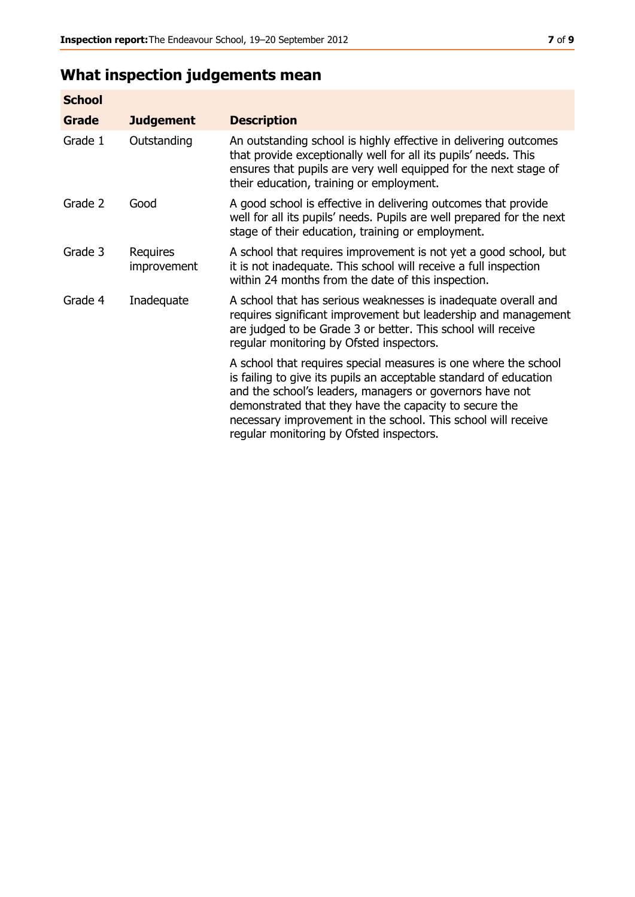# **What inspection judgements mean**

| <b>School</b> |                         |                                                                                                                                                                                                                                                                                                                                                                         |
|---------------|-------------------------|-------------------------------------------------------------------------------------------------------------------------------------------------------------------------------------------------------------------------------------------------------------------------------------------------------------------------------------------------------------------------|
| <b>Grade</b>  | <b>Judgement</b>        | <b>Description</b>                                                                                                                                                                                                                                                                                                                                                      |
| Grade 1       | Outstanding             | An outstanding school is highly effective in delivering outcomes<br>that provide exceptionally well for all its pupils' needs. This<br>ensures that pupils are very well equipped for the next stage of<br>their education, training or employment.                                                                                                                     |
| Grade 2       | Good                    | A good school is effective in delivering outcomes that provide<br>well for all its pupils' needs. Pupils are well prepared for the next<br>stage of their education, training or employment.                                                                                                                                                                            |
| Grade 3       | Requires<br>improvement | A school that requires improvement is not yet a good school, but<br>it is not inadequate. This school will receive a full inspection<br>within 24 months from the date of this inspection.                                                                                                                                                                              |
| Grade 4       | Inadequate              | A school that has serious weaknesses is inadequate overall and<br>requires significant improvement but leadership and management<br>are judged to be Grade 3 or better. This school will receive<br>regular monitoring by Ofsted inspectors.                                                                                                                            |
|               |                         | A school that requires special measures is one where the school<br>is failing to give its pupils an acceptable standard of education<br>and the school's leaders, managers or governors have not<br>demonstrated that they have the capacity to secure the<br>necessary improvement in the school. This school will receive<br>regular monitoring by Ofsted inspectors. |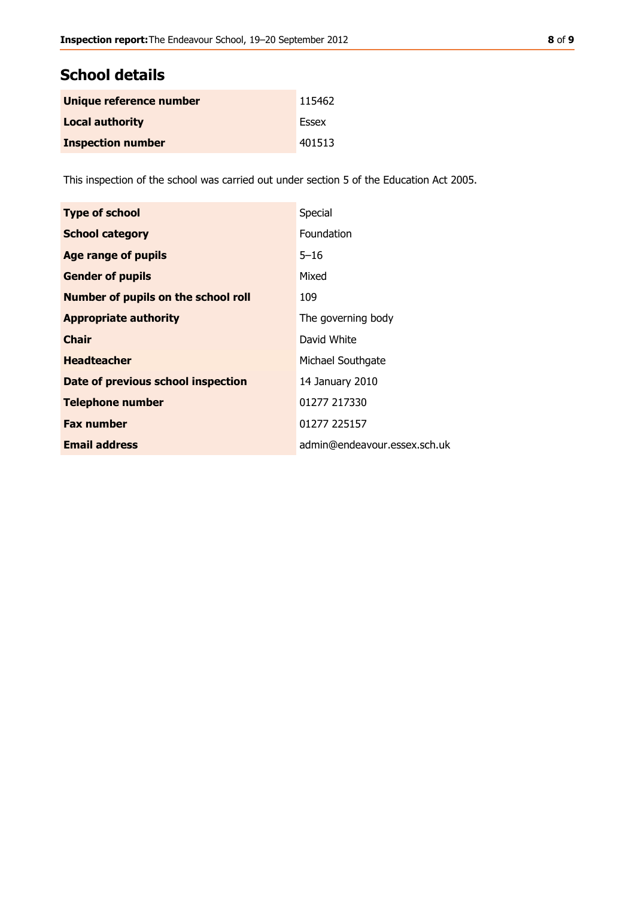# **School details**

| Unique reference number  | 115462 |
|--------------------------|--------|
| <b>Local authority</b>   | Essex  |
| <b>Inspection number</b> | 401513 |

This inspection of the school was carried out under section 5 of the Education Act 2005.

| <b>Type of school</b>                      | Special                      |
|--------------------------------------------|------------------------------|
| <b>School category</b>                     | Foundation                   |
| <b>Age range of pupils</b>                 | $5 - 16$                     |
| <b>Gender of pupils</b>                    | Mixed                        |
| <b>Number of pupils on the school roll</b> | 109                          |
| <b>Appropriate authority</b>               | The governing body           |
| <b>Chair</b>                               | David White                  |
| <b>Headteacher</b>                         | Michael Southgate            |
| Date of previous school inspection         | 14 January 2010              |
| <b>Telephone number</b>                    | 01277 217330                 |
| <b>Fax number</b>                          | 01277 225157                 |
| <b>Email address</b>                       | admin@endeavour.essex.sch.uk |